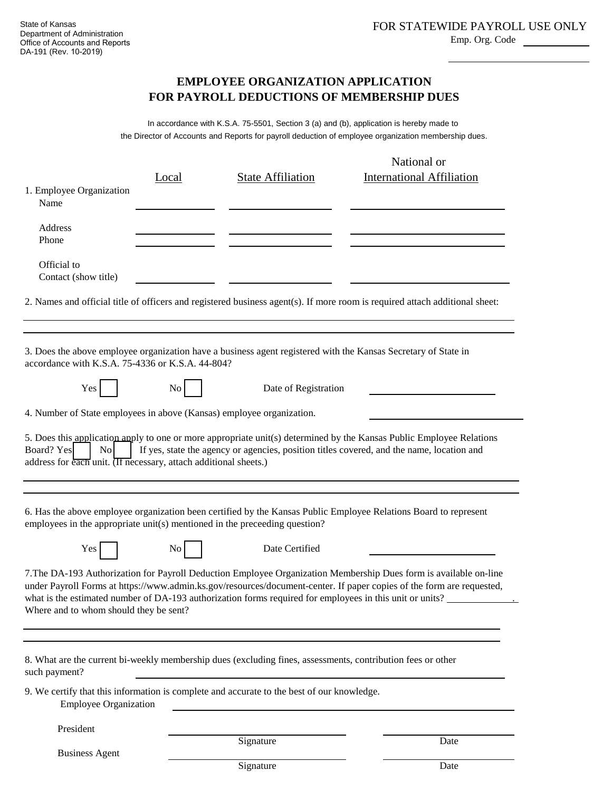Emp. Org. Code

## **FOR PAYROLL DEDUCTIONS OF MEMBERSHIP DUES EMPLOYEE ORGANIZATION APPLICATION**

the Director of Accounts and Reports for payroll deduction of employee organization membership dues. In accordance with K.S.A. 75-5501, Section 3 (a) and (b), application is hereby made to

|                                                                                                  | Local | <b>State Affiliation</b>                                                                                    | National or<br><b>International Affiliation</b>                                                                                                                                                                                            |
|--------------------------------------------------------------------------------------------------|-------|-------------------------------------------------------------------------------------------------------------|--------------------------------------------------------------------------------------------------------------------------------------------------------------------------------------------------------------------------------------------|
| 1. Employee Organization<br>Name                                                                 |       |                                                                                                             |                                                                                                                                                                                                                                            |
| Address<br>Phone                                                                                 |       |                                                                                                             |                                                                                                                                                                                                                                            |
| Official to<br>Contact (show title)                                                              |       |                                                                                                             |                                                                                                                                                                                                                                            |
|                                                                                                  |       |                                                                                                             | 2. Names and official title of officers and registered business agent(s). If more room is required attach additional sheet:                                                                                                                |
| accordance with K.S.A. 75-4336 or K.S.A. 44-804?                                                 |       |                                                                                                             | 3. Does the above employee organization have a business agent registered with the Kansas Secretary of State in                                                                                                                             |
| Yes                                                                                              | No    | Date of Registration                                                                                        |                                                                                                                                                                                                                                            |
| 4. Number of State employees in above (Kansas) employee organization.                            |       |                                                                                                             |                                                                                                                                                                                                                                            |
| Board? Yes<br>N <sub>o</sub><br>address for each unit. (If necessary, attach additional sheets.) |       |                                                                                                             | 5. Does this application apply to one or more appropriate unit(s) determined by the Kansas Public Employee Relations<br>If yes, state the agency or agencies, position titles covered, and the name, location and                          |
|                                                                                                  |       | employees in the appropriate unit(s) mentioned in the preceeding question?                                  | 6. Has the above employee organization been certified by the Kansas Public Employee Relations Board to represent                                                                                                                           |
| Yes                                                                                              | No    | Date Certified                                                                                              |                                                                                                                                                                                                                                            |
| Where and to whom should they be sent?                                                           |       | what is the estimated number of DA-193 authorization forms required for employees in this unit or units?    | 7. The DA-193 Authorization for Payroll Deduction Employee Organization Membership Dues form is available on-line<br>under Payroll Forms at https://www.admin.ks.gov/resources/document-center. If paper copies of the form are requested, |
| such payment?                                                                                    |       | 8. What are the current bi-weekly membership dues (excluding fines, assessments, contribution fees or other |                                                                                                                                                                                                                                            |
| <b>Employee Organization</b>                                                                     |       | 9. We certify that this information is complete and accurate to the best of our knowledge.                  |                                                                                                                                                                                                                                            |
| President                                                                                        |       |                                                                                                             |                                                                                                                                                                                                                                            |
|                                                                                                  |       | Signature                                                                                                   | Date                                                                                                                                                                                                                                       |

Business Agent

Signature Date